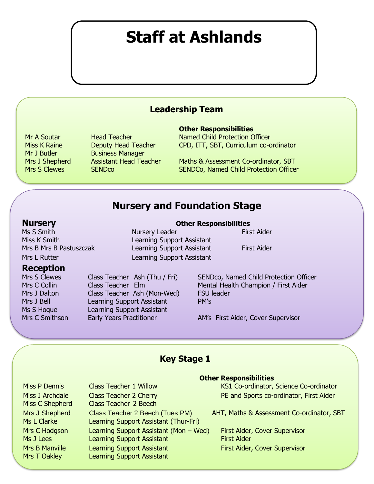# **Staff at Ashlands**

# **Leadership Team**

Mr J Butler Business Manager

#### **Other Responsibilities**

Mr A Soutar **Head Teacher Named Child Protection Officer** Miss K Raine **Deputy Head Teacher** CPD, ITT, SBT, Curriculum co-ordinator

Mrs J Shepherd Assistant Head Teacher Maths & Assessment Co-ordinator, SBT Mrs S Clewes SENDCo SENDCo SENDCo, Named Child Protection Officer

# **Nursery and Foundation Stage**

#### **Nursery Other Responsibilities**

 $\overline{\mathcal{L}}$ 

I

I

I

I

I

I

Ms S Smith Nursery Leader First Aider

#### **Reception**

Mrs J Dalton Class Teacher Ash (Mon-Wed) FSU leader Mrs J Bell Learning Support Assistant PM's Ms S Hoque Learning Support Assistant

Miss K Smith **Learning Support Assistant** Mrs B Mrs B Pastuszczak Learning Support Assistant First Aider Mrs L Rutter Learning Support Assistant

Mrs S Clewes Class Teacher Ash (Thu / Fri) SENDco, Named Child Protection Officer Mrs C Collin Class Teacher Elm Mental Health Champion / First Aider

Mrs C Smithson Early Years Practitioner **AM's First Aider, Cover Supervisor** 

## **Key Stage 1**

Miss C Shepherd Class Teacher 2 Beech Mrs J Shepherd Class Teacher 2 Beech (Tues PM) AHT, Maths & Assessment Co-ordinator, SBT Ms L Clarke Learning Support Assistant (Thur-Fri) Mrs C Hodgson Learning Support Assistant (Mon – Wed) First Aider, Cover Supervisor Ms J Lees Learning Support Assistant First Aider Mrs B Manville Learning Support Assistant First Aider, Cover Supervisor Mrs T Oakley **Learning Support Assistant** 

#### **Other Responsibilities**

Miss P Dennis Class Teacher 1 Willow KS1 Co-ordinator, Science Co-ordinator Miss J Archdale Class Teacher 2 Cherry PE and Sports co-ordinator, First Aider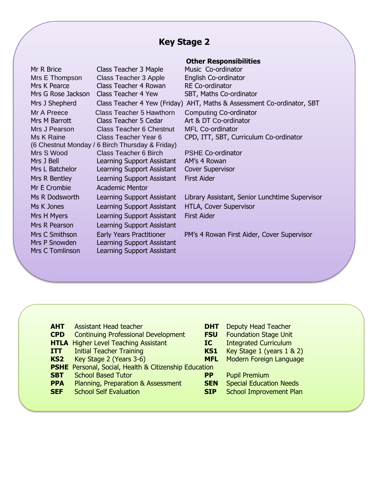# **Key Stage 2**

|                        |                                                 | <b>Other Responsibilities</b>                                          |
|------------------------|-------------------------------------------------|------------------------------------------------------------------------|
| Mr R Brice             | Class Teacher 3 Maple                           | Music Co-ordinator                                                     |
| Mrs E Thompson         | Class Teacher 3 Apple                           | English Co-ordinator                                                   |
| Mrs K Pearce           | Class Teacher 4 Rowan                           | <b>RE Co-ordinator</b>                                                 |
| Mrs G Rose Jackson     | Class Teacher 4 Yew                             | SBT, Maths Co-ordinator                                                |
| Mrs J Shepherd         |                                                 | Class Teacher 4 Yew (Friday) AHT, Maths & Assessment Co-ordinator, SBT |
| Mr A Preece            | Class Teacher 5 Hawthorn                        | <b>Computing Co-ordinator</b>                                          |
| Mrs M Barrott          | Class Teacher 5 Cedar                           | Art & DT Co-ordinator                                                  |
| Mrs J Pearson          | <b>Class Teacher 6 Chestnut</b>                 | <b>MFL Co-ordinator</b>                                                |
| Ms K Raine             | Class Teacher Year 6                            | CPD, ITT, SBT, Curriculum Co-ordinator                                 |
|                        | (6 Chestnut Monday / 6 Birch Thursday & Friday) |                                                                        |
| Mrs S Wood             | <b>Class Teacher 6 Birch</b>                    | <b>PSHE Co-ordinator</b>                                               |
| Mrs J Bell             | Learning Support Assistant                      | AM's 4 Rowan                                                           |
| Mrs L Batchelor        | Learning Support Assistant                      | <b>Cover Supervisor</b>                                                |
| Mrs R Bentley          | Learning Support Assistant                      | <b>First Aider</b>                                                     |
| Mr E Crombie           | <b>Academic Mentor</b>                          |                                                                        |
| Ms R Dodsworth         | Learning Support Assistant                      | Library Assistant, Senior Lunchtime Supervisor                         |
| Ms K Jones             | Learning Support Assistant                      | HTLA, Cover Supervisor                                                 |
| Mrs H Myers            | Learning Support Assistant                      | <b>First Aider</b>                                                     |
| Mrs R Pearson          | Learning Support Assistant                      |                                                                        |
| Mrs C Smithson         | <b>Early Years Practitioner</b>                 | PM's 4 Rowan First Aider, Cover Supervisor                             |
| Mrs P Snowden          | Learning Support Assistant                      |                                                                        |
| <b>Mrs C Tomlinson</b> | <b>Learning Support Assistant</b>               |                                                                        |
|                        |                                                 |                                                                        |

| <b>AHT</b>      | <b>Assistant Head teacher</b>                                | DH        |
|-----------------|--------------------------------------------------------------|-----------|
| <b>CPD</b>      | <b>Continuing Professional Development</b>                   | <b>FS</b> |
|                 | <b>HTLA</b> Higher Level Teaching Assistant                  | IC        |
| <b>ITT</b>      | <b>Initial Teacher Training</b>                              | <b>KS</b> |
| KS <sub>2</sub> | Key Stage 2 (Years 3-6)                                      | <b>MF</b> |
|                 | <b>PSHE</b> Personal, Social, Health & Citizenship Education |           |
| <b>SBT</b>      | <b>School Based Tutor</b>                                    | РP        |
| <b>PPA</b>      | Planning, Preparation & Assessment                           | <b>SE</b> |
| <b>SEF</b>      | <b>School Self Evaluation</b>                                | SII       |
|                 |                                                              |           |

- **DHT** Deputy Head Teacher
	-
- **FSU** Foundation Stage Unit<br> **IC** Integrated Curriculum **Integrated Curriculum**
- **KS1** Key Stage 1 (years 1 & 2)
- **MFL** Modern Foreign Language
- **PP** Pupil Premium
- **SEN** Special Education Needs
- **SIP** School Improvement Plan